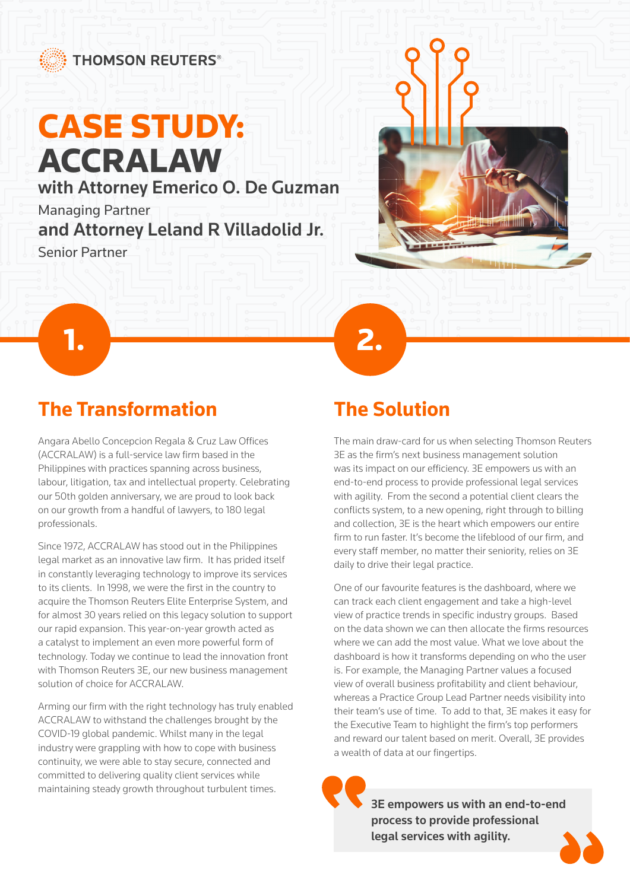# CASE STUDY: ACCRALAW

with Attorney Emerico O. De Guzman

**1. 2.** 2.

Managing Partner and Attorney Leland R Villadolid Jr.

Senior Partner



Angara Abello Concepcion Regala & Cruz Law Offices (ACCRALAW) is a full-service law firm based in the Philippines with practices spanning across business, labour, litigation, tax and intellectual property. Celebrating our 50th golden anniversary, we are proud to look back on our growth from a handful of lawyers, to 180 legal professionals.

Since 1972, ACCRALAW has stood out in the Philippines legal market as an innovative law firm. It has prided itself in constantly leveraging technology to improve its services to its clients. In 1998, we were the first in the country to acquire the Thomson Reuters Elite Enterprise System, and for almost 30 years relied on this legacy solution to support our rapid expansion. This year-on-year growth acted as a catalyst to implement an even more powerful form of technology. Today we continue to lead the innovation front with Thomson Reuters 3E, our new business management solution of choice for ACCRALAW.

Arming our firm with the right technology has truly enabled ACCRALAW to withstand the challenges brought by the COVID-19 global pandemic. Whilst many in the legal industry were grappling with how to cope with business continuity, we were able to stay secure, connected and committed to delivering quality client services while maintaining steady growth throughout turbulent times.

## **The Solution**

The main draw-card for us when selecting Thomson Reuters 3E as the firm's next business management solution was its impact on our efficiency. 3E empowers us with an end-to-end process to provide professional legal services with agility. From the second a potential client clears the conflicts system, to a new opening, right through to billing and collection, 3E is the heart which empowers our entire firm to run faster. It's become the lifeblood of our firm, and every staff member, no matter their seniority, relies on 3E daily to drive their legal practice.

One of our favourite features is the dashboard, where we can track each client engagement and take a high-level view of practice trends in specific industry groups. Based on the data shown we can then allocate the firms resources where we can add the most value. What we love about the dashboard is how it transforms depending on who the user is. For example, the Managing Partner values a focused view of overall business profitability and client behaviour, whereas a Practice Group Lead Partner needs visibility into their team's use of time. To add to that, 3E makes it easy for the Executive Team to highlight the firm's top performers and reward our talent based on merit. Overall, 3E provides a wealth of data at our fingertips.

> 3E empowers us with an end-to-end process to provide professional legal services with agility.